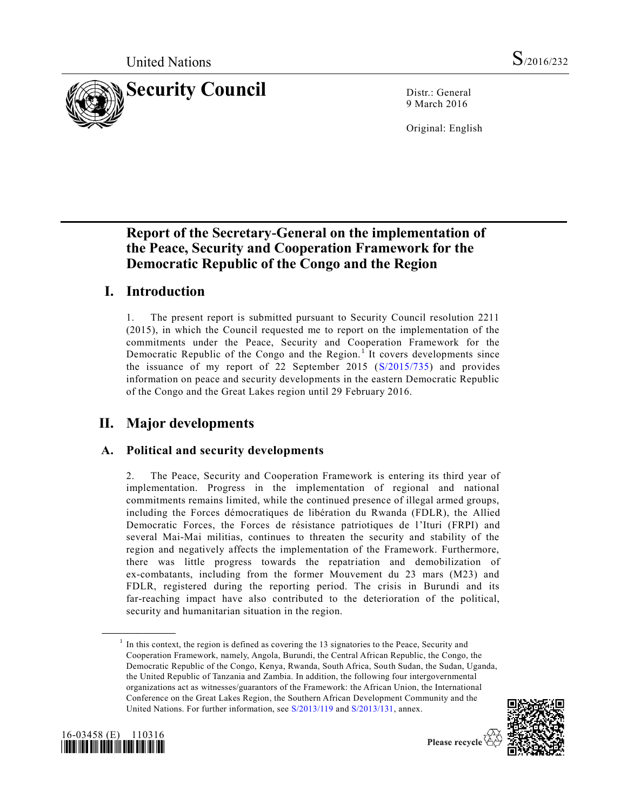

9 March 2016

Original: English

# **Report of the Secretary-General on the implementation of the Peace, Security and Cooperation Framework for the Democratic Republic of the Congo and the Region**

# **I. Introduction**

1. The present report is submitted pursuant to Security Council resolution 2211 (2015), in which the Council requested me to report on the implementation of the commitments under the Peace, Security and Cooperation Framework for the Democratic Republic of the Congo and the Region.<sup>1</sup> It covers developments since the issuance of my report of 22 September 2015 [\(S/2015/735\)](http://undocs.org/S/2015/735) and provides information on peace and security developments in the eastern Democratic Republic of the Congo and the Great Lakes region until 29 February 2016.

# **II. Major developments**

## **A. Political and security developments**

2. The Peace, Security and Cooperation Framework is entering its third year of implementation. Progress in the implementation of regional and national commitments remains limited, while the continued presence of illegal armed groups, including the Forces démocratiques de libération du Rwanda (FDLR), the Allied Democratic Forces, the Forces de résistance patriotiques de l'Ituri (FRPI) and several Mai-Mai militias, continues to threaten the security and stability of the region and negatively affects the implementation of the Framework. Furthermore, there was little progress towards the repatriation and demobilization of ex-combatants, including from the former Mouvement du 23 mars (M23) and FDLR, registered during the reporting period. The crisis in Burundi and its far-reaching impact have also contributed to the deterioration of the political, security and humanitarian situation in the region.

 $<sup>1</sup>$  In this context, the region is defined as covering the 13 signatories to the Peace, Security and</sup> Cooperation Framework, namely, Angola, Burundi, the Central African Republic, the Congo, the Democratic Republic of the Congo, Kenya, Rwanda, South Africa, South Sudan, the Sudan, Uganda, the United Republic of Tanzania and Zambia. In addition, the following four intergovernmental organizations act as witnesses/guarantors of the Framework: the African Union, the International Conference on the Great Lakes Region, the Southern African Development Community and the United Nations. For further information, see [S/2013/119](http://undocs.org/S/2013/119) and [S/2013/131,](http://undocs.org/S/2013/131) annex.





**\_\_\_\_\_\_\_\_\_\_\_\_\_\_\_\_\_\_**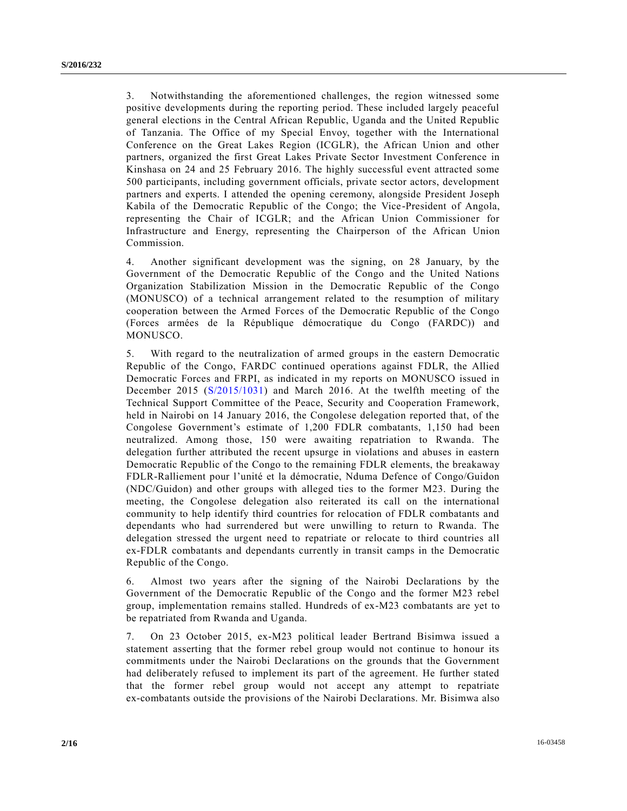3. Notwithstanding the aforementioned challenges, the region witnessed some positive developments during the reporting period. These included largely peaceful general elections in the Central African Republic, Uganda and the United Republic of Tanzania. The Office of my Special Envoy, together with the International Conference on the Great Lakes Region (ICGLR), the African Union and other partners, organized the first Great Lakes Private Sector Investment Conference in Kinshasa on 24 and 25 February 2016. The highly successful event attracted some 500 participants, including government officials, private sector actors, development partners and experts. I attended the opening ceremony, alongside President Joseph Kabila of the Democratic Republic of the Congo; the Vice-President of Angola, representing the Chair of ICGLR; and the African Union Commissioner for Infrastructure and Energy, representing the Chairperson of the African Union Commission.

4. Another significant development was the signing, on 28 January, by the Government of the Democratic Republic of the Congo and the United Nations Organization Stabilization Mission in the Democratic Republic of the Congo (MONUSCO) of a technical arrangement related to the resumption of military cooperation between the Armed Forces of the Democratic Republic of the Congo (Forces armées de la République démocratique du Congo (FARDC)) and MONUSCO.

5. With regard to the neutralization of armed groups in the eastern Democratic Republic of the Congo, FARDC continued operations against FDLR, the Allied Democratic Forces and FRPI, as indicated in my reports on MONUSCO issued in December 2015 [\(S/2015/1031\)](http://undocs.org/S/2015/1031) and March 2016. At the twelfth meeting of the Technical Support Committee of the Peace, Security and Cooperation Framework, held in Nairobi on 14 January 2016, the Congolese delegation reported that, of the Congolese Government's estimate of 1,200 FDLR combatants, 1,150 had been neutralized. Among those, 150 were awaiting repatriation to Rwanda. The delegation further attributed the recent upsurge in violations and abuses in eastern Democratic Republic of the Congo to the remaining FDLR elements, the breakaway FDLR-Ralliement pour l'unité et la démocratie, Nduma Defence of Congo/Guidon (NDC/Guidon) and other groups with alleged ties to the former M23. During the meeting, the Congolese delegation also reiterated its call on the international community to help identify third countries for relocation of FDLR combatants and dependants who had surrendered but were unwilling to return to Rwanda. The delegation stressed the urgent need to repatriate or relocate to third countries all ex-FDLR combatants and dependants currently in transit camps in the Democratic Republic of the Congo.

6. Almost two years after the signing of the Nairobi Declarations by the Government of the Democratic Republic of the Congo and the former M23 rebel group, implementation remains stalled. Hundreds of ex-M23 combatants are yet to be repatriated from Rwanda and Uganda.

7. On 23 October 2015, ex-M23 political leader Bertrand Bisimwa issued a statement asserting that the former rebel group would not continue to honour its commitments under the Nairobi Declarations on the grounds that the Government had deliberately refused to implement its part of the agreement. He further stated that the former rebel group would not accept any attempt to repatriate ex-combatants outside the provisions of the Nairobi Declarations. Mr. Bisimwa also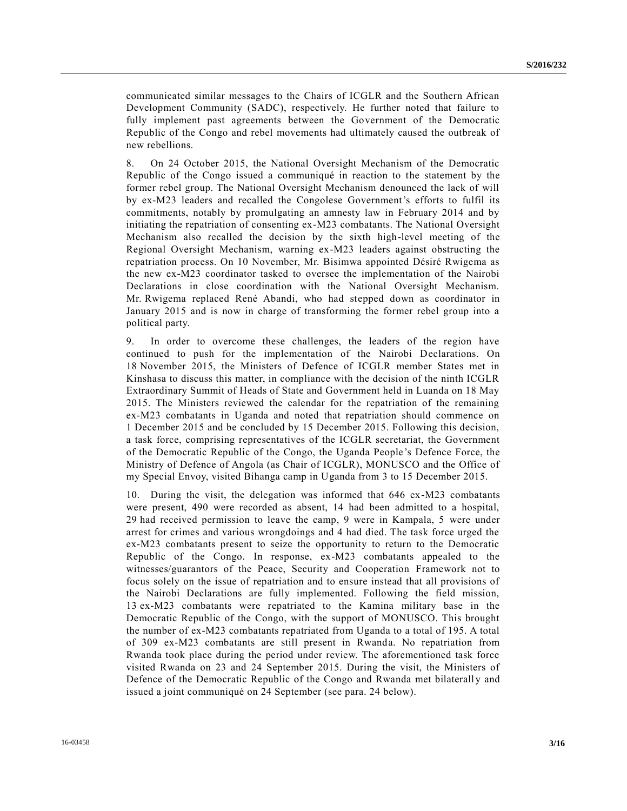communicated similar messages to the Chairs of ICGLR and the Southern African Development Community (SADC), respectively. He further noted that failure to fully implement past agreements between the Government of the Democratic Republic of the Congo and rebel movements had ultimately caused the outbreak of new rebellions.

8. On 24 October 2015, the National Oversight Mechanism of the Democratic Republic of the Congo issued a communiqué in reaction to the statement by the former rebel group. The National Oversight Mechanism denounced the lack of will by ex-M23 leaders and recalled the Congolese Government's efforts to fulfil its commitments, notably by promulgating an amnesty law in February 2014 and by initiating the repatriation of consenting ex-M23 combatants. The National Oversight Mechanism also recalled the decision by the sixth high-level meeting of the Regional Oversight Mechanism, warning ex-M23 leaders against obstructing the repatriation process. On 10 November, Mr. Bisimwa appointed Désiré Rwigema as the new ex-M23 coordinator tasked to oversee the implementation of the Nairobi Declarations in close coordination with the National Oversight Mechanism. Mr. Rwigema replaced René Abandi, who had stepped down as coordinator in January 2015 and is now in charge of transforming the former rebel group into a political party.

9. In order to overcome these challenges, the leaders of the region have continued to push for the implementation of the Nairobi Declarations. On 18 November 2015, the Ministers of Defence of ICGLR member States met in Kinshasa to discuss this matter, in compliance with the decision of the ninth ICGLR Extraordinary Summit of Heads of State and Government held in Luanda on 18 May 2015. The Ministers reviewed the calendar for the repatriation of the remaining ex-M23 combatants in Uganda and noted that repatriation should commence on 1 December 2015 and be concluded by 15 December 2015. Following this decision, a task force, comprising representatives of the ICGLR secretariat, the Government of the Democratic Republic of the Congo, the Uganda People's Defence Force, the Ministry of Defence of Angola (as Chair of ICGLR), MONUSCO and the Office of my Special Envoy, visited Bihanga camp in Uganda from 3 to 15 December 2015.

10. During the visit, the delegation was informed that 646 ex-M23 combatants were present, 490 were recorded as absent, 14 had been admitted to a hospital, 29 had received permission to leave the camp, 9 were in Kampala, 5 were under arrest for crimes and various wrongdoings and 4 had died. The task force urged the ex-M23 combatants present to seize the opportunity to return to the Democratic Republic of the Congo. In response, ex-M23 combatants appealed to the witnesses/guarantors of the Peace, Security and Cooperation Framework not to focus solely on the issue of repatriation and to ensure instead that all provisions of the Nairobi Declarations are fully implemented. Following the field mission, 13 ex-M23 combatants were repatriated to the Kamina military base in the Democratic Republic of the Congo, with the support of MONUSCO. This brought the number of ex-M23 combatants repatriated from Uganda to a total of 195. A total of 309 ex-M23 combatants are still present in Rwanda. No repatriation from Rwanda took place during the period under review. The aforementioned task force visited Rwanda on 23 and 24 September 2015. During the visit, the Ministers of Defence of the Democratic Republic of the Congo and Rwanda met bilaterall y and issued a joint communiqué on 24 September (see para. 24 below).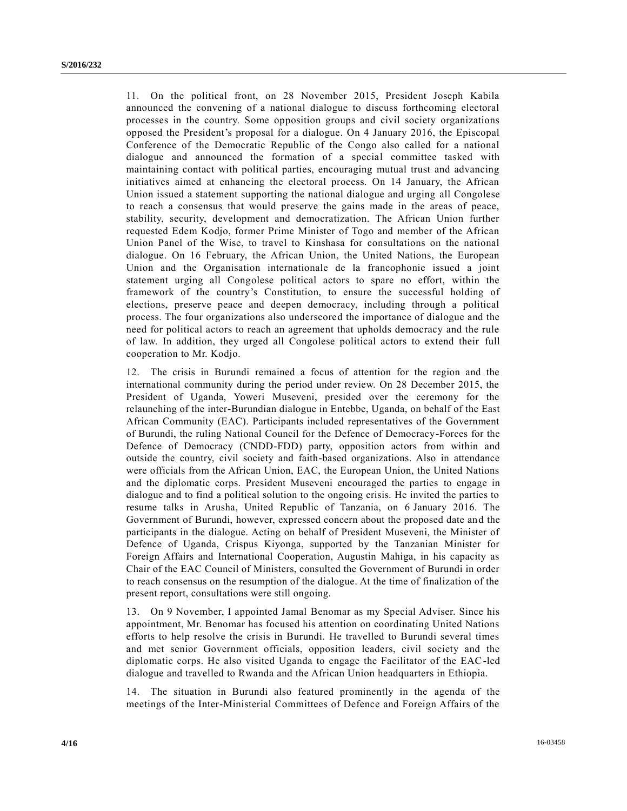11. On the political front, on 28 November 2015, President Joseph Kabila announced the convening of a national dialogue to discuss forthcoming electoral processes in the country. Some opposition groups and civil society organizations opposed the President's proposal for a dialogue. On 4 January 2016, the Episcopal Conference of the Democratic Republic of the Congo also called for a national dialogue and announced the formation of a special committee tasked with maintaining contact with political parties, encouraging mutual trust and advancing initiatives aimed at enhancing the electoral process. On 14 January, the African Union issued a statement supporting the national dialogue and urging all Congolese to reach a consensus that would preserve the gains made in the areas of peace, stability, security, development and democratization. The African Union further requested Edem Kodjo, former Prime Minister of Togo and member of the African Union Panel of the Wise, to travel to Kinshasa for consultations on the national dialogue. On 16 February, the African Union, the United Nations, the European Union and the Organisation internationale de la francophonie issued a joint statement urging all Congolese political actors to spare no effort, within the framework of the country's Constitution, to ensure the successful holding of elections, preserve peace and deepen democracy, including through a political process. The four organizations also underscored the importance of dialogue and the need for political actors to reach an agreement that upholds democracy and the rule of law. In addition, they urged all Congolese political actors to extend their full cooperation to Mr. Kodjo.

12. The crisis in Burundi remained a focus of attention for the region and the international community during the period under review. On 28 December 2015, the President of Uganda, Yoweri Museveni, presided over the ceremony for the relaunching of the inter-Burundian dialogue in Entebbe, Uganda, on behalf of the East African Community (EAC). Participants included representatives of the Government of Burundi, the ruling National Council for the Defence of Democracy-Forces for the Defence of Democracy (CNDD-FDD) party, opposition actors from within and outside the country, civil society and faith-based organizations. Also in attendance were officials from the African Union, EAC, the European Union, the United Nations and the diplomatic corps. President Museveni encouraged the parties to engage in dialogue and to find a political solution to the ongoing crisis. He invited the parties to resume talks in Arusha, United Republic of Tanzania, on 6 January 2016. The Government of Burundi, however, expressed concern about the proposed date and the participants in the dialogue. Acting on behalf of President Museveni, the Minister of Defence of Uganda, Crispus Kiyonga, supported by the Tanzanian Minister for Foreign Affairs and International Cooperation, Augustin Mahiga, in his capacity as Chair of the EAC Council of Ministers, consulted the Government of Burundi in order to reach consensus on the resumption of the dialogue. At the time of finalization of the present report, consultations were still ongoing.

13. On 9 November, I appointed Jamal Benomar as my Special Adviser. Since his appointment, Mr. Benomar has focused his attention on coordinating United Nations efforts to help resolve the crisis in Burundi. He travelled to Burundi several times and met senior Government officials, opposition leaders, civil society and the diplomatic corps. He also visited Uganda to engage the Facilitator of the EAC-led dialogue and travelled to Rwanda and the African Union headquarters in Ethiopia.

14. The situation in Burundi also featured prominently in the agenda of the meetings of the Inter-Ministerial Committees of Defence and Foreign Affairs of the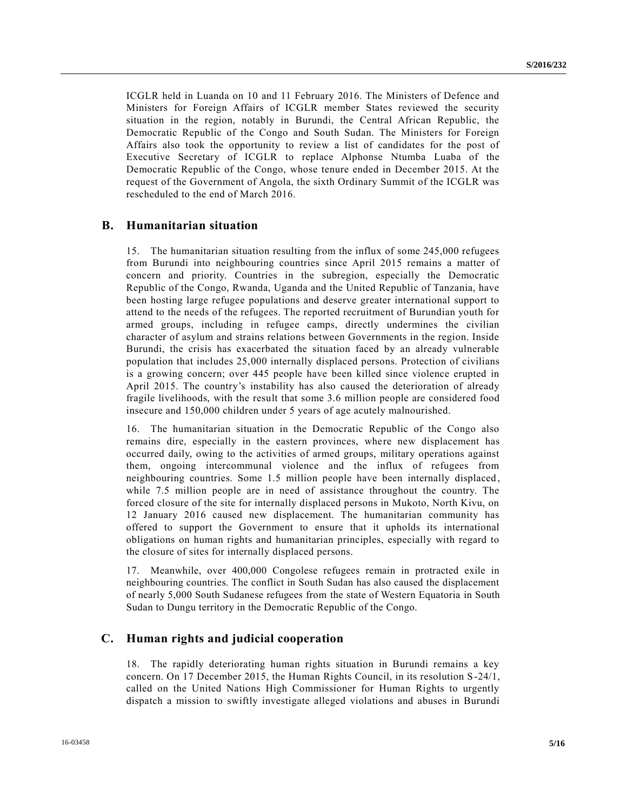ICGLR held in Luanda on 10 and 11 February 2016. The Ministers of Defence and Ministers for Foreign Affairs of ICGLR member States reviewed the security situation in the region, notably in Burundi, the Central African Republic, the Democratic Republic of the Congo and South Sudan. The Ministers for Foreign Affairs also took the opportunity to review a list of candidates for the post of Executive Secretary of ICGLR to replace Alphonse Ntumba Luaba of the Democratic Republic of the Congo, whose tenure ended in December 2015. At the request of the Government of Angola, the sixth Ordinary Summit of the ICGLR was rescheduled to the end of March 2016.

## **B. Humanitarian situation**

15. The humanitarian situation resulting from the influx of some 245,000 refugees from Burundi into neighbouring countries since April 2015 remains a matter of concern and priority. Countries in the subregion, especially the Democratic Republic of the Congo, Rwanda, Uganda and the United Republic of Tanzania, have been hosting large refugee populations and deserve greater international support to attend to the needs of the refugees. The reported recruitment of Burundian youth for armed groups, including in refugee camps, directly undermines the civilian character of asylum and strains relations between Governments in the region. Inside Burundi, the crisis has exacerbated the situation faced by an already vulnerable population that includes 25,000 internally displaced persons. Protection of civilians is a growing concern; over 445 people have been killed since violence erupted in April 2015. The country's instability has also caused the deterioration of already fragile livelihoods, with the result that some 3.6 million people are considered food insecure and 150,000 children under 5 years of age acutely malnourished.

16. The humanitarian situation in the Democratic Republic of the Congo also remains dire, especially in the eastern provinces, where new displacement has occurred daily, owing to the activities of armed groups, military operations against them, ongoing intercommunal violence and the influx of refugees from neighbouring countries. Some 1.5 million people have been internally displaced, while 7.5 million people are in need of assistance throughout the country. The forced closure of the site for internally displaced persons in Mukoto, North Kivu, on 12 January 2016 caused new displacement. The humanitarian community has offered to support the Government to ensure that it upholds its international obligations on human rights and humanitarian principles, especially with regard to the closure of sites for internally displaced persons.

17. Meanwhile, over 400,000 Congolese refugees remain in protracted exile in neighbouring countries. The conflict in South Sudan has also caused the displacement of nearly 5,000 South Sudanese refugees from the state of Western Equatoria in South Sudan to Dungu territory in the Democratic Republic of the Congo.

#### **C. Human rights and judicial cooperation**

18. The rapidly deteriorating human rights situation in Burundi remains a key concern. On 17 December 2015, the Human Rights Council, in its resolution S-24/1, called on the United Nations High Commissioner for Human Rights to urgently dispatch a mission to swiftly investigate alleged violations and abuses in Burundi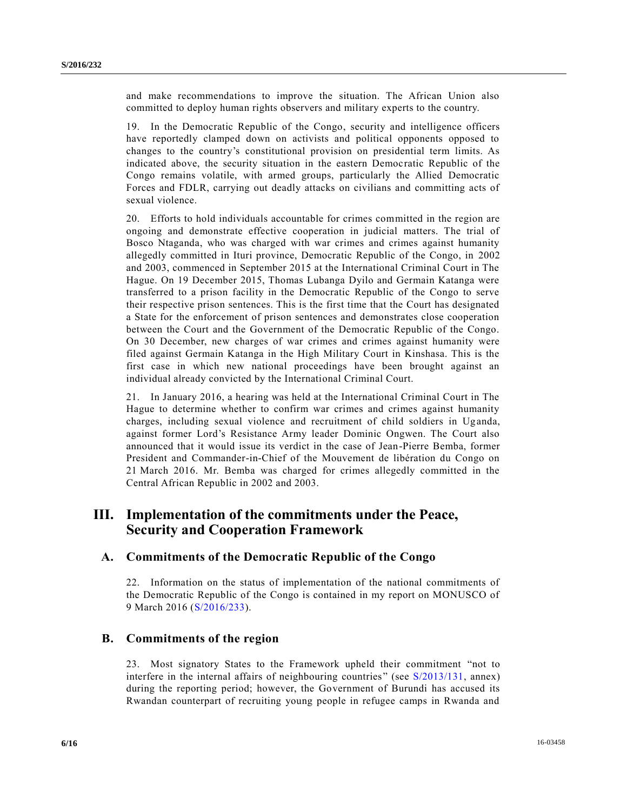and make recommendations to improve the situation. The African Union also committed to deploy human rights observers and military experts to the country.

19. In the Democratic Republic of the Congo, security and intelligence officers have reportedly clamped down on activists and political opponents opposed to changes to the country's constitutional provision on presidential term limits. As indicated above, the security situation in the eastern Democratic Republic of the Congo remains volatile, with armed groups, particularly the Allied Democratic Forces and FDLR, carrying out deadly attacks on civilians and committing acts of sexual violence.

20. Efforts to hold individuals accountable for crimes committed in the region are ongoing and demonstrate effective cooperation in judicial matters. The trial of Bosco Ntaganda, who was charged with war crimes and crimes against humanity allegedly committed in Ituri province, Democratic Republic of the Congo, in 2002 and 2003, commenced in September 2015 at the International Criminal Court in The Hague. On 19 December 2015, Thomas Lubanga Dyilo and Germain Katanga were transferred to a prison facility in the Democratic Republic of the Congo to serve their respective prison sentences. This is the first time that the Court has designated a State for the enforcement of prison sentences and demonstrates close cooperation between the Court and the Government of the Democratic Republic of the Congo. On 30 December, new charges of war crimes and crimes against humanity were filed against Germain Katanga in the High Military Court in Kinshasa. This is the first case in which new national proceedings have been brought against an individual already convicted by the International Criminal Court.

21. In January 2016, a hearing was held at the International Criminal Court in The Hague to determine whether to confirm war crimes and crimes against humanity charges, including sexual violence and recruitment of child soldiers in Uganda, against former Lord's Resistance Army leader Dominic Ongwen. The Court also announced that it would issue its verdict in the case of Jean-Pierre Bemba, former President and Commander-in-Chief of the Mouvement de libération du Congo on 21 March 2016. Mr. Bemba was charged for crimes allegedly committed in the Central African Republic in 2002 and 2003.

## **III. Implementation of the commitments under the Peace, Security and Cooperation Framework**

## **A. Commitments of the Democratic Republic of the Congo**

22. Information on the status of implementation of the national commitments of the Democratic Republic of the Congo is contained in my report on MONUSCO of 9 March 2016 [\(S/2016/233\)](http://undocs.org/S/2016/233).

## **B. Commitments of the region**

23. Most signatory States to the Framework upheld their commitment "not to interfere in the internal affairs of neighbouring countries" (see [S/2013/131,](http://undocs.org/S/2013/131) annex) during the reporting period; however, the Government of Burundi has accused its Rwandan counterpart of recruiting young people in refugee camps in Rwanda and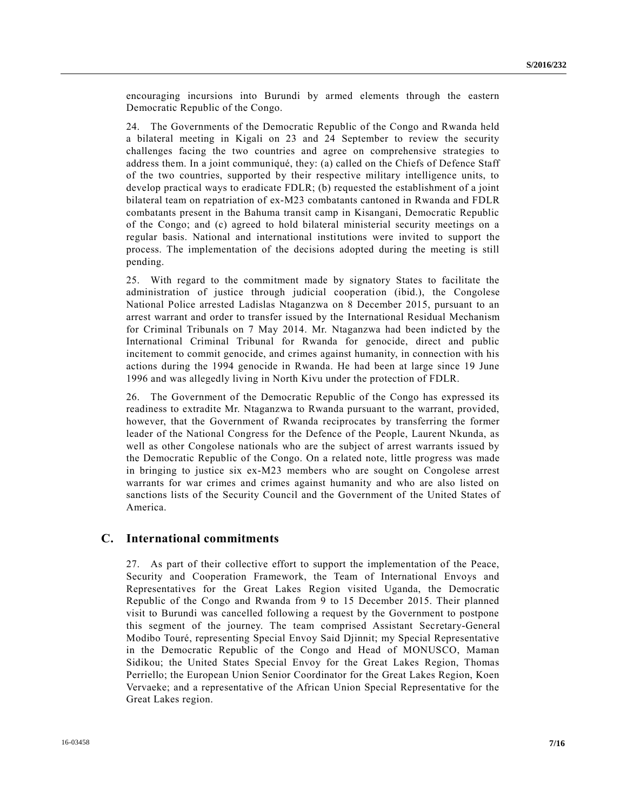encouraging incursions into Burundi by armed elements through the eastern Democratic Republic of the Congo.

24. The Governments of the Democratic Republic of the Congo and Rwanda held a bilateral meeting in Kigali on 23 and 24 September to review the security challenges facing the two countries and agree on comprehensive strategies to address them. In a joint communiqué, they: (a) called on the Chiefs of Defence Staff of the two countries, supported by their respective military intelligence units, to develop practical ways to eradicate FDLR; (b) requested the establishment of a joint bilateral team on repatriation of ex-M23 combatants cantoned in Rwanda and FDLR combatants present in the Bahuma transit camp in Kisangani, Democratic Republic of the Congo; and (c) agreed to hold bilateral ministerial security meetings on a regular basis. National and international institutions were invited to support the process. The implementation of the decisions adopted during the meeting is still pending.

25. With regard to the commitment made by signatory States to facilitate the administration of justice through judicial cooperation (ibid.), the Congolese National Police arrested Ladislas Ntaganzwa on 8 December 2015, pursuant to an arrest warrant and order to transfer issued by the International Residual Mechanism for Criminal Tribunals on 7 May 2014. Mr. Ntaganzwa had been indicted by the International Criminal Tribunal for Rwanda for genocide, direct and public incitement to commit genocide, and crimes against humanity, in connection with his actions during the 1994 genocide in Rwanda. He had been at large since 19 June 1996 and was allegedly living in North Kivu under the protection of FDLR.

26. The Government of the Democratic Republic of the Congo has expressed its readiness to extradite Mr. Ntaganzwa to Rwanda pursuant to the warrant, provided, however, that the Government of Rwanda reciprocates by transferring the former leader of the National Congress for the Defence of the People, Laurent Nkunda, as well as other Congolese nationals who are the subject of arrest warrants issued by the Democratic Republic of the Congo. On a related note, little progress was made in bringing to justice six ex-M23 members who are sought on Congolese arrest warrants for war crimes and crimes against humanity and who are also listed on sanctions lists of the Security Council and the Government of the United States of America.

#### **C. International commitments**

27. As part of their collective effort to support the implementation of the Peace, Security and Cooperation Framework, the Team of International Envoys and Representatives for the Great Lakes Region visited Uganda, the Democratic Republic of the Congo and Rwanda from 9 to 15 December 2015. Their planned visit to Burundi was cancelled following a request by the Government to postpone this segment of the journey. The team comprised Assistant Secretary-General Modibo Touré, representing Special Envoy Said Djinnit; my Special Representative in the Democratic Republic of the Congo and Head of MONUSCO, Maman Sidikou; the United States Special Envoy for the Great Lakes Region, Thomas Perriello; the European Union Senior Coordinator for the Great Lakes Region, Koen Vervaeke; and a representative of the African Union Special Representative for the Great Lakes region.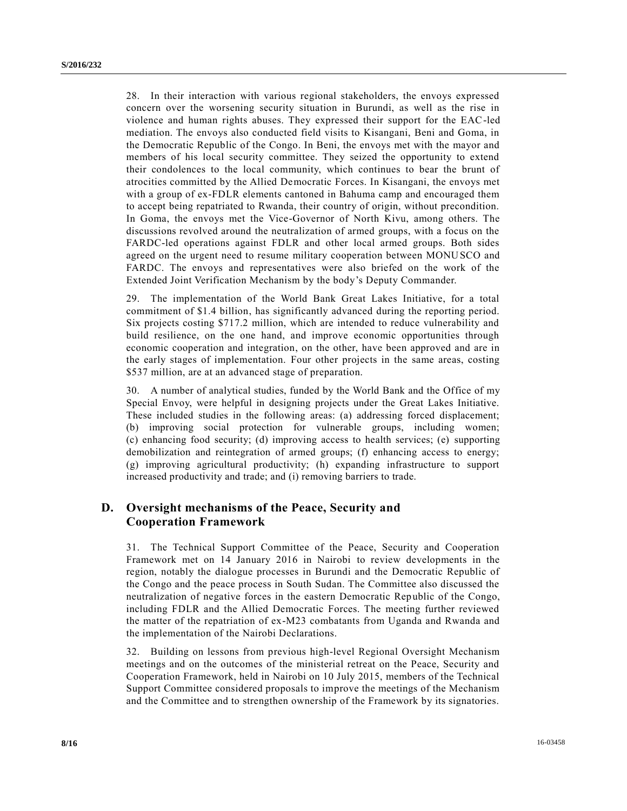28. In their interaction with various regional stakeholders, the envoys expressed concern over the worsening security situation in Burundi, as well as the rise in violence and human rights abuses. They expressed their support for the EAC-led mediation. The envoys also conducted field visits to Kisangani, Beni and Goma, in the Democratic Republic of the Congo. In Beni, the envoys met with the mayor and members of his local security committee. They seized the opportunity to extend their condolences to the local community, which continues to bear the brunt of atrocities committed by the Allied Democratic Forces. In Kisangani, the envoys met with a group of ex-FDLR elements cantoned in Bahuma camp and encouraged them to accept being repatriated to Rwanda, their country of origin, without precondition. In Goma, the envoys met the Vice-Governor of North Kivu, among others. The discussions revolved around the neutralization of armed groups, with a focus on the FARDC-led operations against FDLR and other local armed groups. Both sides agreed on the urgent need to resume military cooperation between MONUSCO and FARDC. The envoys and representatives were also briefed on the work of the Extended Joint Verification Mechanism by the body's Deputy Commander.

29. The implementation of the World Bank Great Lakes Initiative, for a total commitment of \$1.4 billion, has significantly advanced during the reporting period. Six projects costing \$717.2 million, which are intended to reduce vulnerability and build resilience, on the one hand, and improve economic opportunities through economic cooperation and integration, on the other, have been approved and are in the early stages of implementation. Four other projects in the same areas, costing \$537 million, are at an advanced stage of preparation.

30. A number of analytical studies, funded by the World Bank and the Office of my Special Envoy, were helpful in designing projects under the Great Lakes Initiative. These included studies in the following areas: (a) addressing forced displacement; (b) improving social protection for vulnerable groups, including women; (c) enhancing food security; (d) improving access to health services; (e) supporting demobilization and reintegration of armed groups; (f) enhancing access to energy; (g) improving agricultural productivity; (h) expanding infrastructure to support increased productivity and trade; and (i) removing barriers to trade.

## **D. Oversight mechanisms of the Peace, Security and Cooperation Framework**

31. The Technical Support Committee of the Peace, Security and Cooperation Framework met on 14 January 2016 in Nairobi to review developments in the region, notably the dialogue processes in Burundi and the Democratic Republic of the Congo and the peace process in South Sudan. The Committee also discussed the neutralization of negative forces in the eastern Democratic Republic of the Congo, including FDLR and the Allied Democratic Forces. The meeting further reviewed the matter of the repatriation of ex-M23 combatants from Uganda and Rwanda and the implementation of the Nairobi Declarations.

32. Building on lessons from previous high-level Regional Oversight Mechanism meetings and on the outcomes of the ministerial retreat on the Peace, Security and Cooperation Framework, held in Nairobi on 10 July 2015, members of the Technical Support Committee considered proposals to improve the meetings of the Mechanism and the Committee and to strengthen ownership of the Framework by its signatories.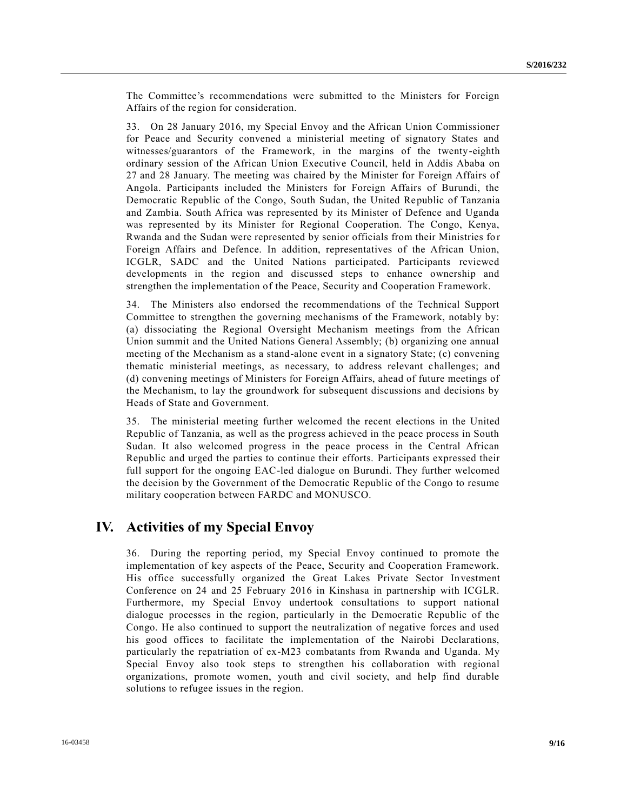The Committee's recommendations were submitted to the Ministers for Foreign Affairs of the region for consideration.

33. On 28 January 2016, my Special Envoy and the African Union Commissioner for Peace and Security convened a ministerial meeting of signatory States and witnesses/guarantors of the Framework, in the margins of the twenty-eighth ordinary session of the African Union Executive Council, held in Addis Ababa on 27 and 28 January. The meeting was chaired by the Minister for Foreign Affairs of Angola. Participants included the Ministers for Foreign Affairs of Burundi, the Democratic Republic of the Congo, South Sudan, the United Republic of Tanzania and Zambia. South Africa was represented by its Minister of Defence and Uganda was represented by its Minister for Regional Cooperation. The Congo, Kenya, Rwanda and the Sudan were represented by senior officials from their Ministries for Foreign Affairs and Defence. In addition, representatives of the African Union, ICGLR, SADC and the United Nations participated. Participants reviewed developments in the region and discussed steps to enhance ownership and strengthen the implementation of the Peace, Security and Cooperation Framework.

34. The Ministers also endorsed the recommendations of the Technical Support Committee to strengthen the governing mechanisms of the Framework, notably by: (a) dissociating the Regional Oversight Mechanism meetings from the African Union summit and the United Nations General Assembly; (b) organizing one annual meeting of the Mechanism as a stand-alone event in a signatory State; (c) convening thematic ministerial meetings, as necessary, to address relevant challenges; and (d) convening meetings of Ministers for Foreign Affairs, ahead of future meetings of the Mechanism, to lay the groundwork for subsequent discussions and decisions by Heads of State and Government.

35. The ministerial meeting further welcomed the recent elections in the United Republic of Tanzania, as well as the progress achieved in the peace process in South Sudan. It also welcomed progress in the peace process in the Central African Republic and urged the parties to continue their efforts. Participants expressed their full support for the ongoing EAC-led dialogue on Burundi. They further welcomed the decision by the Government of the Democratic Republic of the Congo to resume military cooperation between FARDC and MONUSCO.

## **IV. Activities of my Special Envoy**

36. During the reporting period, my Special Envoy continued to promote the implementation of key aspects of the Peace, Security and Cooperation Framework. His office successfully organized the Great Lakes Private Sector Investment Conference on 24 and 25 February 2016 in Kinshasa in partnership with ICGLR. Furthermore, my Special Envoy undertook consultations to support national dialogue processes in the region, particularly in the Democratic Republic of the Congo. He also continued to support the neutralization of negative forces and used his good offices to facilitate the implementation of the Nairobi Declarations, particularly the repatriation of ex-M23 combatants from Rwanda and Uganda. My Special Envoy also took steps to strengthen his collaboration with regional organizations, promote women, youth and civil society, and help find durable solutions to refugee issues in the region.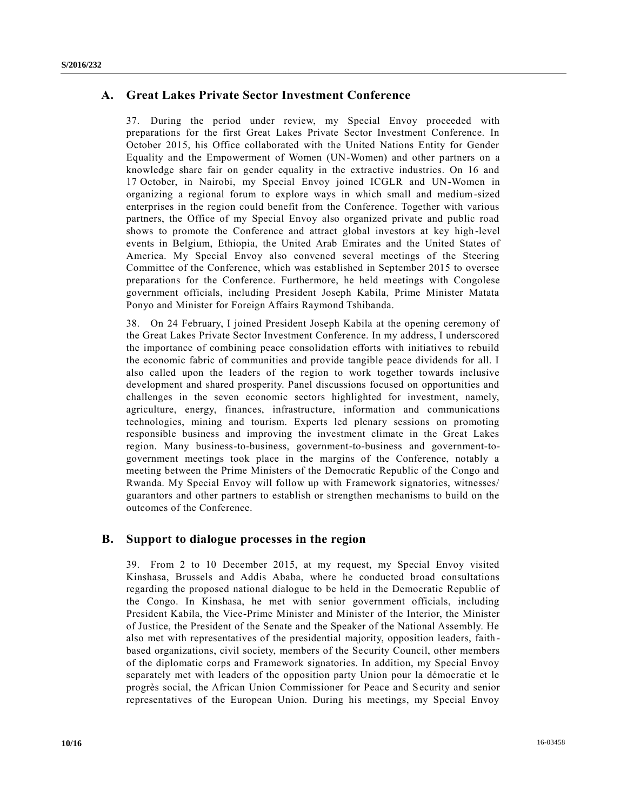## **A. Great Lakes Private Sector Investment Conference**

37. During the period under review, my Special Envoy proceeded with preparations for the first Great Lakes Private Sector Investment Conference. In October 2015, his Office collaborated with the United Nations Entity for Gender Equality and the Empowerment of Women (UN-Women) and other partners on a knowledge share fair on gender equality in the extractive industries. On 16 and 17 October, in Nairobi, my Special Envoy joined ICGLR and UN-Women in organizing a regional forum to explore ways in which small and medium-sized enterprises in the region could benefit from the Conference. Together with various partners, the Office of my Special Envoy also organized private and public road shows to promote the Conference and attract global investors at key high -level events in Belgium, Ethiopia, the United Arab Emirates and the United States of America. My Special Envoy also convened several meetings of the Steering Committee of the Conference, which was established in September 2015 to oversee preparations for the Conference. Furthermore, he held meetings with Congolese government officials, including President Joseph Kabila, Prime Minister Matata Ponyo and Minister for Foreign Affairs Raymond Tshibanda.

38. On 24 February, I joined President Joseph Kabila at the opening ceremony of the Great Lakes Private Sector Investment Conference. In my address, I underscored the importance of combining peace consolidation efforts with initiatives to rebuild the economic fabric of communities and provide tangible peace dividends for all. I also called upon the leaders of the region to work together towards inclusive development and shared prosperity. Panel discussions focused on opportunities and challenges in the seven economic sectors highlighted for investment, namely, agriculture, energy, finances, infrastructure, information and communications technologies, mining and tourism. Experts led plenary sessions on promoting responsible business and improving the investment climate in the Great Lakes region. Many business-to-business, government-to-business and government-togovernment meetings took place in the margins of the Conference, notably a meeting between the Prime Ministers of the Democratic Republic of the Congo and Rwanda. My Special Envoy will follow up with Framework signatories, witnesses/ guarantors and other partners to establish or strengthen mechanisms to build on the outcomes of the Conference.

## **B. Support to dialogue processes in the region**

39. From 2 to 10 December 2015, at my request, my Special Envoy visited Kinshasa, Brussels and Addis Ababa, where he conducted broad consultations regarding the proposed national dialogue to be held in the Democratic Republic of the Congo. In Kinshasa, he met with senior government officials, including President Kabila, the Vice-Prime Minister and Minister of the Interior, the Minister of Justice, the President of the Senate and the Speaker of the National Assembly. He also met with representatives of the presidential majority, opposition leaders, faith based organizations, civil society, members of the Security Council, other members of the diplomatic corps and Framework signatories. In addition, my Special Envoy separately met with leaders of the opposition party Union pour la démocratie et le progrès social, the African Union Commissioner for Peace and Security and senior representatives of the European Union. During his meetings, my Special Envoy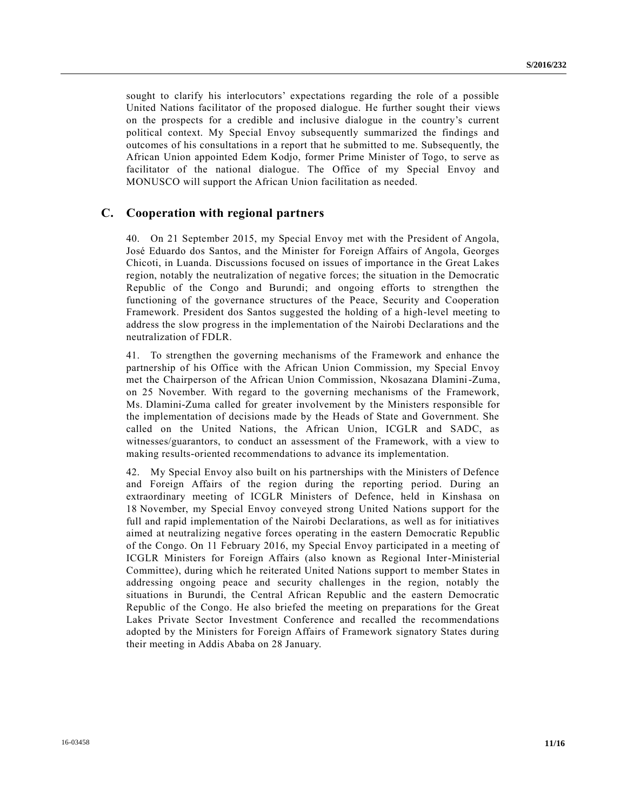sought to clarify his interlocutors' expectations regarding the role of a possible United Nations facilitator of the proposed dialogue. He further sought their views on the prospects for a credible and inclusive dialogue in the country's current political context. My Special Envoy subsequently summarized the findings and outcomes of his consultations in a report that he submitted to me. Subsequently, the African Union appointed Edem Kodjo, former Prime Minister of Togo, to serve as facilitator of the national dialogue. The Office of my Special Envoy and MONUSCO will support the African Union facilitation as needed.

#### **C. Cooperation with regional partners**

40. On 21 September 2015, my Special Envoy met with the President of Angola, José Eduardo dos Santos, and the Minister for Foreign Affairs of Angola, Georges Chicoti, in Luanda. Discussions focused on issues of importance in the Great Lakes region, notably the neutralization of negative forces; the situation in the Democratic Republic of the Congo and Burundi; and ongoing efforts to strengthen the functioning of the governance structures of the Peace, Security and Cooperation Framework. President dos Santos suggested the holding of a high-level meeting to address the slow progress in the implementation of the Nairobi Declarations and the neutralization of FDLR.

41. To strengthen the governing mechanisms of the Framework and enhance the partnership of his Office with the African Union Commission, my Special Envoy met the Chairperson of the African Union Commission, Nkosazana Dlamini-Zuma, on 25 November. With regard to the governing mechanisms of the Framework, Ms. Dlamini-Zuma called for greater involvement by the Ministers responsible for the implementation of decisions made by the Heads of State and Government. She called on the United Nations, the African Union, ICGLR and SADC, as witnesses/guarantors, to conduct an assessment of the Framework, with a view to making results-oriented recommendations to advance its implementation.

42. My Special Envoy also built on his partnerships with the Ministers of Defence and Foreign Affairs of the region during the reporting period. During an extraordinary meeting of ICGLR Ministers of Defence, held in Kinshasa on 18 November, my Special Envoy conveyed strong United Nations support for the full and rapid implementation of the Nairobi Declarations, as well as for initiatives aimed at neutralizing negative forces operating in the eastern Democratic Republic of the Congo. On 11 February 2016, my Special Envoy participated in a meeting of ICGLR Ministers for Foreign Affairs (also known as Regional Inter-Ministerial Committee), during which he reiterated United Nations support to member States in addressing ongoing peace and security challenges in the region, notably the situations in Burundi, the Central African Republic and the eastern Democratic Republic of the Congo. He also briefed the meeting on preparations for the Great Lakes Private Sector Investment Conference and recalled the recommendations adopted by the Ministers for Foreign Affairs of Framework signatory States during their meeting in Addis Ababa on 28 January.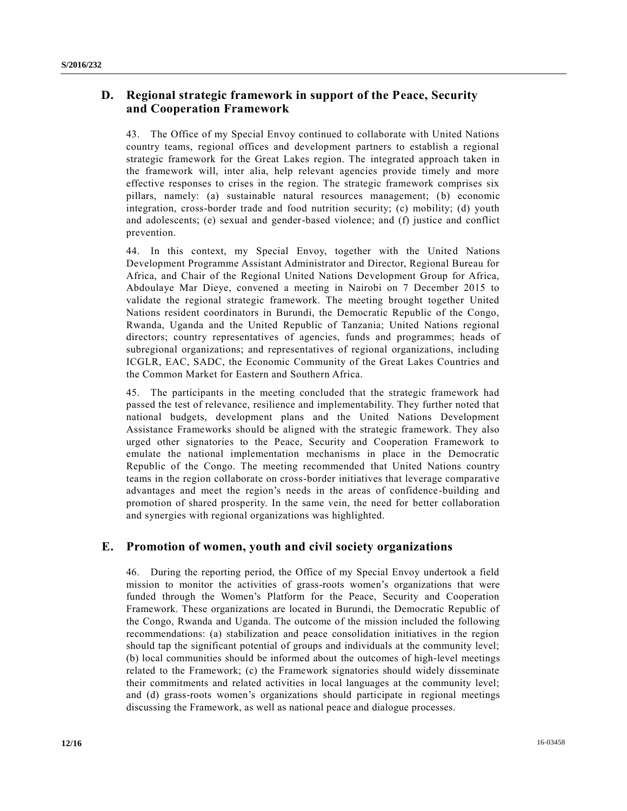## **D. Regional strategic framework in support of the Peace, Security and Cooperation Framework**

43. The Office of my Special Envoy continued to collaborate with United Nations country teams, regional offices and development partners to establish a regional strategic framework for the Great Lakes region. The integrated approach taken in the framework will, inter alia, help relevant agencies provide timely and more effective responses to crises in the region. The strategic framework comprises six pillars, namely: (a) sustainable natural resources management; (b) economic integration, cross-border trade and food nutrition security; (c) mobility; (d) youth and adolescents; (e) sexual and gender-based violence; and (f) justice and conflict prevention.

44. In this context, my Special Envoy, together with the United Nations Development Programme Assistant Administrator and Director, Regional Bureau for Africa, and Chair of the Regional United Nations Development Group for Africa, Abdoulaye Mar Dieye, convened a meeting in Nairobi on 7 December 2015 to validate the regional strategic framework. The meeting brought together United Nations resident coordinators in Burundi, the Democratic Republic of the Congo, Rwanda, Uganda and the United Republic of Tanzania; United Nations regional directors; country representatives of agencies, funds and programmes; heads of subregional organizations; and representatives of regional organizations, including ICGLR, EAC, SADC, the Economic Community of the Great Lakes Countries and the Common Market for Eastern and Southern Africa.

45. The participants in the meeting concluded that the strategic framework had passed the test of relevance, resilience and implementability. They further noted that national budgets, development plans and the United Nations Development Assistance Frameworks should be aligned with the strategic framework. They also urged other signatories to the Peace, Security and Cooperation Framework to emulate the national implementation mechanisms in place in the Democratic Republic of the Congo. The meeting recommended that United Nations country teams in the region collaborate on cross-border initiatives that leverage comparative advantages and meet the region's needs in the areas of confidence-building and promotion of shared prosperity. In the same vein, the need for better collaboration and synergies with regional organizations was highlighted.

## **E. Promotion of women, youth and civil society organizations**

46. During the reporting period, the Office of my Special Envoy undertook a field mission to monitor the activities of grass-roots women's organizations that were funded through the Women's Platform for the Peace, Security and Cooperation Framework. These organizations are located in Burundi, the Democratic Republic of the Congo, Rwanda and Uganda. The outcome of the mission included the following recommendations: (a) stabilization and peace consolidation initiatives in the region should tap the significant potential of groups and individuals at the community level; (b) local communities should be informed about the outcomes of high-level meetings related to the Framework; (c) the Framework signatories should widely disseminate their commitments and related activities in local languages at the community level; and (d) grass-roots women's organizations should participate in regional meetings discussing the Framework, as well as national peace and dialogue processes.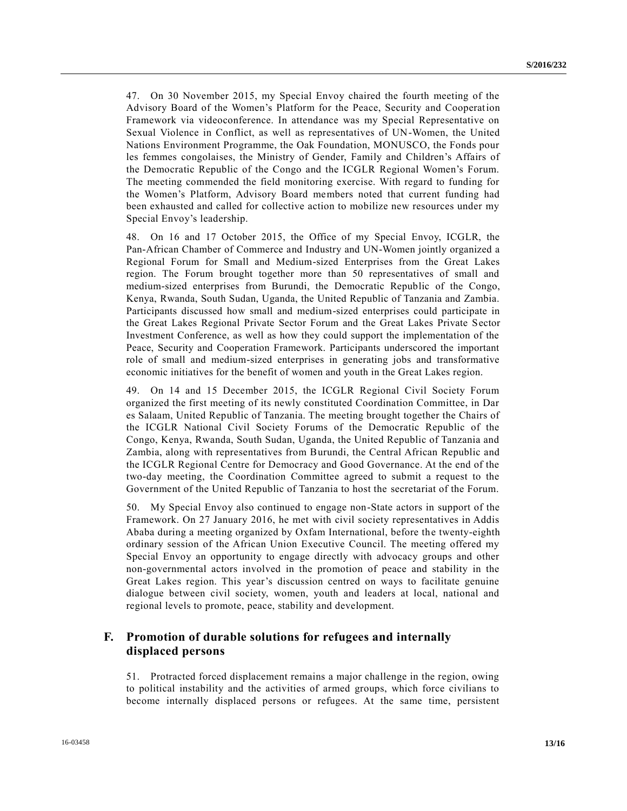47. On 30 November 2015, my Special Envoy chaired the fourth meeting of the Advisory Board of the Women's Platform for the Peace, Security and Cooperation Framework via videoconference. In attendance was my Special Representative on Sexual Violence in Conflict, as well as representatives of UN-Women, the United Nations Environment Programme, the Oak Foundation, MONUSCO, the Fonds pour les femmes congolaises, the Ministry of Gender, Family and Children's Affairs of the Democratic Republic of the Congo and the ICGLR Regional Women's Forum. The meeting commended the field monitoring exercise. With regard to funding for the Women's Platform, Advisory Board members noted that current funding had been exhausted and called for collective action to mobilize new resources under my Special Envoy's leadership.

48. On 16 and 17 October 2015, the Office of my Special Envoy, ICGLR, the Pan-African Chamber of Commerce and Industry and UN-Women jointly organized a Regional Forum for Small and Medium-sized Enterprises from the Great Lakes region. The Forum brought together more than 50 representatives of small and medium-sized enterprises from Burundi, the Democratic Republic of the Congo, Kenya, Rwanda, South Sudan, Uganda, the United Republic of Tanzania and Zambia. Participants discussed how small and medium-sized enterprises could participate in the Great Lakes Regional Private Sector Forum and the Great Lakes Private Sector Investment Conference, as well as how they could support the implementation of the Peace, Security and Cooperation Framework. Participants underscored the important role of small and medium-sized enterprises in generating jobs and transformative economic initiatives for the benefit of women and youth in the Great Lakes region.

49. On 14 and 15 December 2015, the ICGLR Regional Civil Society Forum organized the first meeting of its newly constituted Coordination Committee, in Dar es Salaam, United Republic of Tanzania. The meeting brought together the Chairs of the ICGLR National Civil Society Forums of the Democratic Republic of the Congo, Kenya, Rwanda, South Sudan, Uganda, the United Republic of Tanzania and Zambia, along with representatives from Burundi, the Central African Republic and the ICGLR Regional Centre for Democracy and Good Governance. At the end of the two-day meeting, the Coordination Committee agreed to submit a request to the Government of the United Republic of Tanzania to host the secretariat of the Forum.

50. My Special Envoy also continued to engage non-State actors in support of the Framework. On 27 January 2016, he met with civil society representatives in Addis Ababa during a meeting organized by Oxfam International, before the twenty-eighth ordinary session of the African Union Executive Council. The meeting offered my Special Envoy an opportunity to engage directly with advocacy groups and other non-governmental actors involved in the promotion of peace and stability in the Great Lakes region. This year's discussion centred on ways to facilitate genuine dialogue between civil society, women, youth and leaders at local, national and regional levels to promote, peace, stability and development.

## **F. Promotion of durable solutions for refugees and internally displaced persons**

51. Protracted forced displacement remains a major challenge in the region, owing to political instability and the activities of armed groups, which force civilians to become internally displaced persons or refugees. At the same time, persistent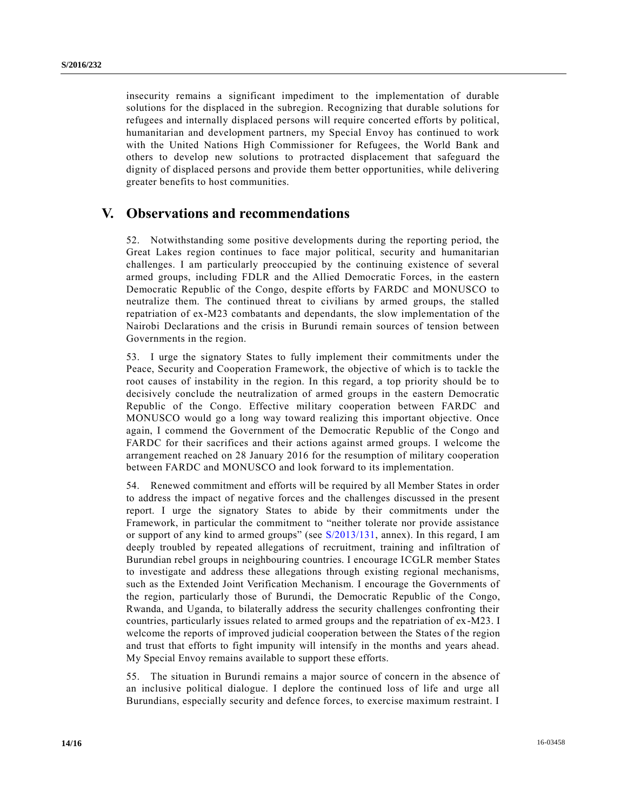insecurity remains a significant impediment to the implementation of durable solutions for the displaced in the subregion. Recognizing that durable solutions for refugees and internally displaced persons will require concerted efforts by political, humanitarian and development partners, my Special Envoy has continued to work with the United Nations High Commissioner for Refugees, the World Bank and others to develop new solutions to protracted displacement that safeguard the dignity of displaced persons and provide them better opportunities, while delivering greater benefits to host communities.

## **V. Observations and recommendations**

52. Notwithstanding some positive developments during the reporting period, the Great Lakes region continues to face major political, security and humanitarian challenges. I am particularly preoccupied by the continuing existence of several armed groups, including FDLR and the Allied Democratic Forces, in the eastern Democratic Republic of the Congo, despite efforts by FARDC and MONUSCO to neutralize them. The continued threat to civilians by armed groups, the stalled repatriation of ex-M23 combatants and dependants, the slow implementation of the Nairobi Declarations and the crisis in Burundi remain sources of tension between Governments in the region.

53. I urge the signatory States to fully implement their commitments under the Peace, Security and Cooperation Framework, the objective of which is to tackle the root causes of instability in the region. In this regard, a top priority should be to decisively conclude the neutralization of armed groups in the eastern Democratic Republic of the Congo. Effective military cooperation between FARDC and MONUSCO would go a long way toward realizing this important objective. Once again, I commend the Government of the Democratic Republic of the Congo and FARDC for their sacrifices and their actions against armed groups. I welcome the arrangement reached on 28 January 2016 for the resumption of military cooperation between FARDC and MONUSCO and look forward to its implementation.

54. Renewed commitment and efforts will be required by all Member States in order to address the impact of negative forces and the challenges discussed in the present report. I urge the signatory States to abide by their commitments under the Framework, in particular the commitment to "neither tolerate nor provide assistance or support of any kind to armed groups" (see [S/2013/131,](http://undocs.org/S/2013/131) annex). In this regard, I am deeply troubled by repeated allegations of recruitment, training and infiltration of Burundian rebel groups in neighbouring countries. I encourage ICGLR member States to investigate and address these allegations through existing regional mechanisms, such as the Extended Joint Verification Mechanism. I encourage the Governments of the region, particularly those of Burundi, the Democratic Republic of the Congo, Rwanda, and Uganda, to bilaterally address the security challenges confronting their countries, particularly issues related to armed groups and the repatriation of ex-M23. I welcome the reports of improved judicial cooperation between the States of the region and trust that efforts to fight impunity will intensify in the months and years ahead. My Special Envoy remains available to support these efforts.

55. The situation in Burundi remains a major source of concern in the absence of an inclusive political dialogue. I deplore the continued loss of life and urge all Burundians, especially security and defence forces, to exercise maximum restraint. I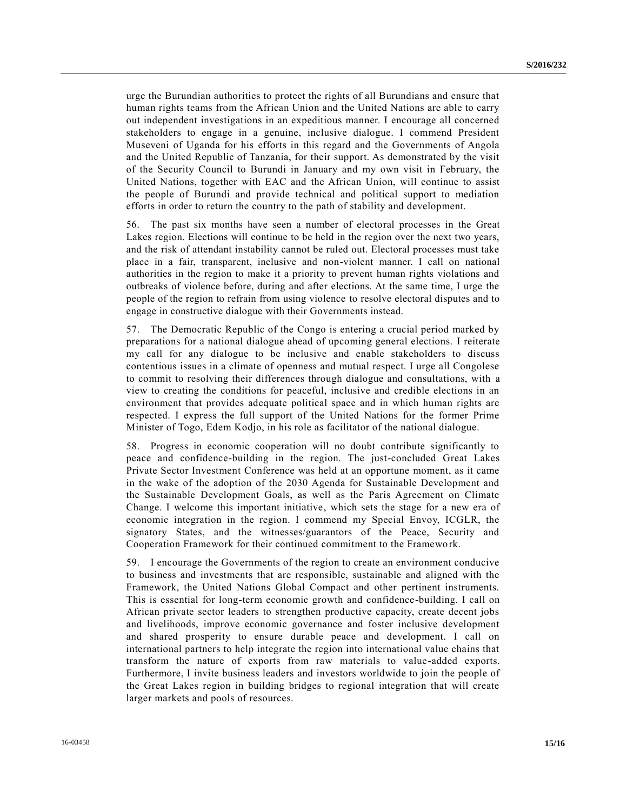urge the Burundian authorities to protect the rights of all Burundians and ensure that human rights teams from the African Union and the United Nations are able to carry out independent investigations in an expeditious manner. I encourage all concerned stakeholders to engage in a genuine, inclusive dialogue. I commend President Museveni of Uganda for his efforts in this regard and the Governments of Angola and the United Republic of Tanzania, for their support. As demonstrated by the visit of the Security Council to Burundi in January and my own visit in February, the United Nations, together with EAC and the African Union, will continue to assist the people of Burundi and provide technical and political support to mediation efforts in order to return the country to the path of stability and development.

56. The past six months have seen a number of electoral processes in the Great Lakes region. Elections will continue to be held in the region over the next two years, and the risk of attendant instability cannot be ruled out. Electoral processes must take place in a fair, transparent, inclusive and non-violent manner. I call on national authorities in the region to make it a priority to prevent human rights violations and outbreaks of violence before, during and after elections. At the same time, I urge the people of the region to refrain from using violence to resolve electoral disputes and to engage in constructive dialogue with their Governments instead.

57. The Democratic Republic of the Congo is entering a crucial period marked by preparations for a national dialogue ahead of upcoming general elections. I reiterate my call for any dialogue to be inclusive and enable stakeholders to discuss contentious issues in a climate of openness and mutual respect. I urge all Congolese to commit to resolving their differences through dialogue and consultations, with a view to creating the conditions for peaceful, inclusive and credible elections in an environment that provides adequate political space and in which human rights are respected. I express the full support of the United Nations for the former Prime Minister of Togo, Edem Kodjo, in his role as facilitator of the national dialogue.

58. Progress in economic cooperation will no doubt contribute significantly to peace and confidence-building in the region. The just-concluded Great Lakes Private Sector Investment Conference was held at an opportune moment, as it came in the wake of the adoption of the 2030 Agenda for Sustainable Development and the Sustainable Development Goals, as well as the Paris Agreement on Climate Change. I welcome this important initiative, which sets the stage for a new era of economic integration in the region. I commend my Special Envoy, ICGLR, the signatory States, and the witnesses/guarantors of the Peace, Security and Cooperation Framework for their continued commitment to the Framework.

59. I encourage the Governments of the region to create an environment conducive to business and investments that are responsible, sustainable and aligned with the Framework, the United Nations Global Compact and other pertinent instruments. This is essential for long-term economic growth and confidence-building. I call on African private sector leaders to strengthen productive capacity, create decent jobs and livelihoods, improve economic governance and foster inclusive development and shared prosperity to ensure durable peace and development. I call on international partners to help integrate the region into international value chains that transform the nature of exports from raw materials to value-added exports. Furthermore, I invite business leaders and investors worldwide to join the people of the Great Lakes region in building bridges to regional integration that will create larger markets and pools of resources.